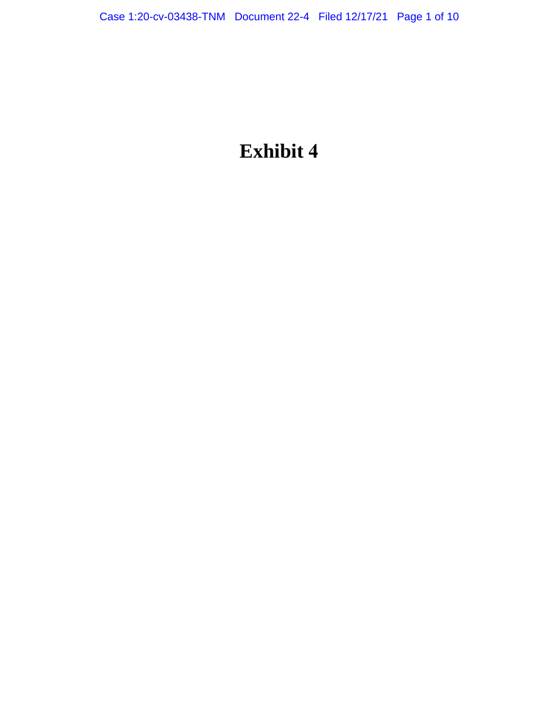# **Exhibit 4**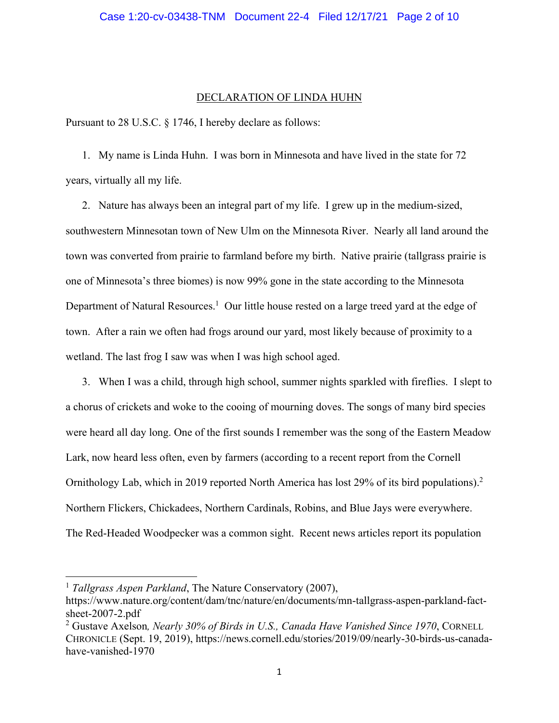# DECLARATION OF LINDA HUHN

Pursuant to 28 U.S.C. § 1746, I hereby declare as follows:

1. My name is Linda Huhn. I was born in Minnesota and have lived in the state for 72 years, virtually all my life.

2. Nature has always been an integral part of my life. I grew up in the medium-sized, southwestern Minnesotan town of New Ulm on the Minnesota River. Nearly all land around the town was converted from prairie to farmland before my birth. Native prairie (tallgrass prairie is one of Minnesota's three biomes) is now 99% gone in the state according to the Minnesota Department of Natural Resources.<sup>1</sup> Our little house rested on a large treed yard at the edge of town. After a rain we often had frogs around our yard, most likely because of proximity to a wetland. The last frog I saw was when I was high school aged.

3. When I was a child, through high school, summer nights sparkled with fireflies. I slept to a chorus of crickets and woke to the cooing of mourning doves. The songs of many bird species were heard all day long. One of the first sounds I remember was the song of the Eastern Meadow Lark, now heard less often, even by farmers (according to a recent report from the Cornell Ornithology Lab, which in 2019 reported North America has lost 29% of its bird populations).<sup>2</sup> Northern Flickers, Chickadees, Northern Cardinals, Robins, and Blue Jays were everywhere. The Red-Headed Woodpecker was a common sight. Recent news articles report its population

<sup>&</sup>lt;sup>1</sup> *Tallgrass Aspen Parkland*, The Nature Conservatory (2007),

https://www.nature.org/content/dam/tnc/nature/en/documents/mn-tallgrass-aspen-parkland-factsheet-2007-2.pdf

<sup>2</sup> Gustave Axelson*, Nearly 30% of Birds in U.S., Canada Have Vanished Since 1970*, CORNELL CHRONICLE (Sept. 19, 2019), https://news.cornell.edu/stories/2019/09/nearly-30-birds-us-canadahave-vanished-1970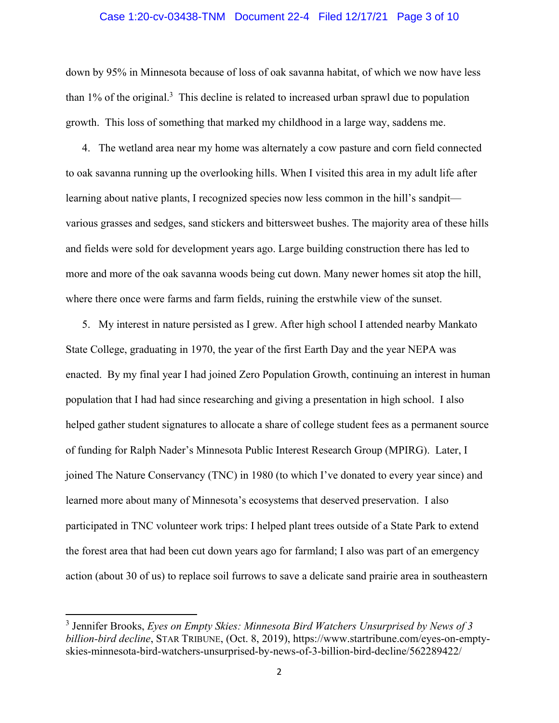# Case 1:20-cv-03438-TNM Document 22-4 Filed 12/17/21 Page 3 of 10

down by 95% in Minnesota because of loss of oak savanna habitat, of which we now have less than  $1\%$  of the original.<sup>3</sup> This decline is related to increased urban sprawl due to population growth. This loss of something that marked my childhood in a large way, saddens me.

4. The wetland area near my home was alternately a cow pasture and corn field connected to oak savanna running up the overlooking hills. When I visited this area in my adult life after learning about native plants, I recognized species now less common in the hill's sandpit various grasses and sedges, sand stickers and bittersweet bushes. The majority area of these hills and fields were sold for development years ago. Large building construction there has led to more and more of the oak savanna woods being cut down. Many newer homes sit atop the hill, where there once were farms and farm fields, ruining the erstwhile view of the sunset.

5. My interest in nature persisted as I grew. After high school I attended nearby Mankato State College, graduating in 1970, the year of the first Earth Day and the year NEPA was enacted. By my final year I had joined Zero Population Growth, continuing an interest in human population that I had had since researching and giving a presentation in high school. I also helped gather student signatures to allocate a share of college student fees as a permanent source of funding for Ralph Nader's Minnesota Public Interest Research Group (MPIRG). Later, I joined The Nature Conservancy (TNC) in 1980 (to which I've donated to every year since) and learned more about many of Minnesota's ecosystems that deserved preservation. I also participated in TNC volunteer work trips: I helped plant trees outside of a State Park to extend the forest area that had been cut down years ago for farmland; I also was part of an emergency action (about 30 of us) to replace soil furrows to save a delicate sand prairie area in southeastern

<sup>3</sup> Jennifer Brooks, *Eyes on Empty Skies: Minnesota Bird Watchers Unsurprised by News of 3 billion-bird decline*, STAR TRIBUNE, (Oct. 8, 2019), https://www.startribune.com/eyes-on-emptyskies-minnesota-bird-watchers-unsurprised-by-news-of-3-billion-bird-decline/562289422/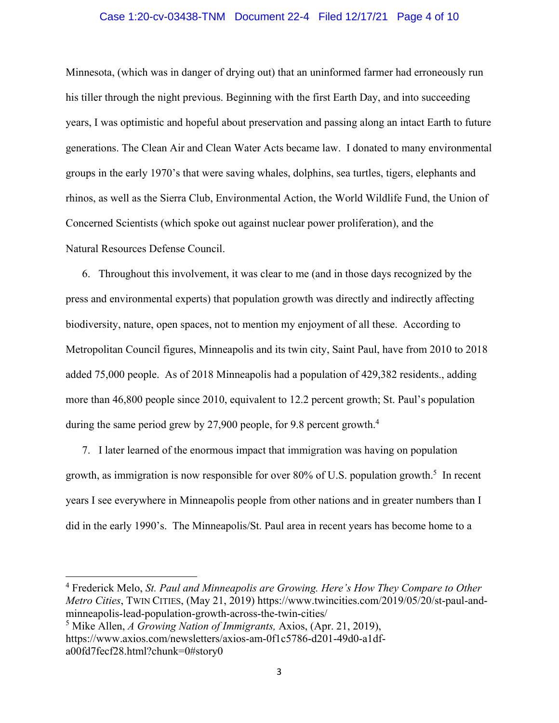# Case 1:20-cv-03438-TNM Document 22-4 Filed 12/17/21 Page 4 of 10

Minnesota, (which was in danger of drying out) that an uninformed farmer had erroneously run his tiller through the night previous. Beginning with the first Earth Day, and into succeeding years, I was optimistic and hopeful about preservation and passing along an intact Earth to future generations. The Clean Air and Clean Water Acts became law. I donated to many environmental groups in the early 1970's that were saving whales, dolphins, sea turtles, tigers, elephants and rhinos, as well as the Sierra Club, Environmental Action, the World Wildlife Fund, the Union of Concerned Scientists (which spoke out against nuclear power proliferation), and the Natural Resources Defense Council.

6. Throughout this involvement, it was clear to me (and in those days recognized by the press and environmental experts) that population growth was directly and indirectly affecting biodiversity, nature, open spaces, not to mention my enjoyment of all these. According to Metropolitan Council figures, Minneapolis and its twin city, Saint Paul, have from 2010 to 2018 added 75,000 people. As of 2018 Minneapolis had a population of 429,382 residents., adding more than 46,800 people since 2010, equivalent to 12.2 percent growth; St. Paul's population during the same period grew by 27,900 people, for 9.8 percent growth.<sup>4</sup>

7. I later learned of the enormous impact that immigration was having on population growth, as immigration is now responsible for over 80% of U.S. population growth.<sup>5</sup> In recent years I see everywhere in Minneapolis people from other nations and in greater numbers than I did in the early 1990's. The Minneapolis/St. Paul area in recent years has become home to a

<sup>4</sup> Frederick Melo, *St. Paul and Minneapolis are Growing. Here's How They Compare to Other Metro Cities*, TWIN CITIES, (May 21, 2019) https://www.twincities.com/2019/05/20/st-paul-andminneapolis-lead-population-growth-across-the-twin-cities/

<sup>5</sup> Mike Allen, *A Growing Nation of Immigrants,* Axios, (Apr. 21, 2019), https://www.axios.com/newsletters/axios-am-0f1c5786-d201-49d0-a1dfa00fd7fecf28.html?chunk=0#story0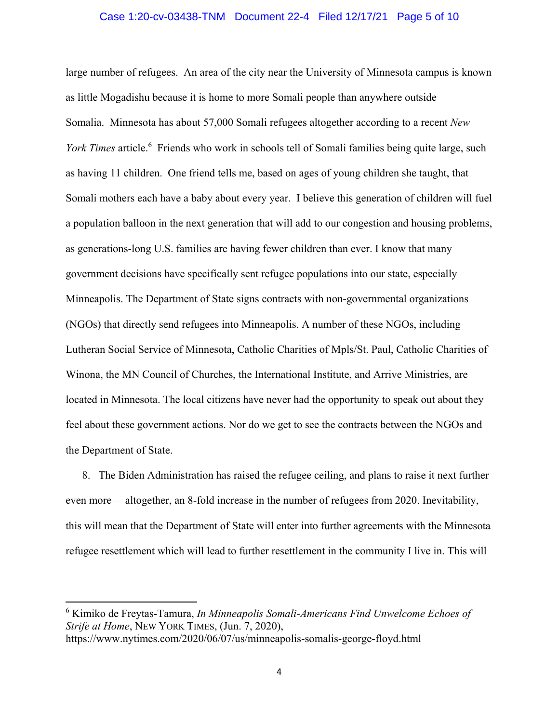## Case 1:20-cv-03438-TNM Document 22-4 Filed 12/17/21 Page 5 of 10

large number of refugees. An area of the city near the University of Minnesota campus is known as little Mogadishu because it is home to more Somali people than anywhere outside Somalia. Minnesota has about 57,000 Somali refugees altogether according to a recent *New*  York Times article.<sup>6</sup> Friends who work in schools tell of Somali families being quite large, such as having 11 children. One friend tells me, based on ages of young children she taught, that Somali mothers each have a baby about every year. I believe this generation of children will fuel a population balloon in the next generation that will add to our congestion and housing problems, as generations-long U.S. families are having fewer children than ever. I know that many government decisions have specifically sent refugee populations into our state, especially Minneapolis. The Department of State signs contracts with non-governmental organizations (NGOs) that directly send refugees into Minneapolis. A number of these NGOs, including Lutheran Social Service of Minnesota, Catholic Charities of Mpls/St. Paul, Catholic Charities of Winona, the MN Council of Churches, the International Institute, and Arrive Ministries, are located in Minnesota. The local citizens have never had the opportunity to speak out about they feel about these government actions. Nor do we get to see the contracts between the NGOs and the Department of State.

8. The Biden Administration has raised the refugee ceiling, and plans to raise it next further even more— altogether, an 8-fold increase in the number of refugees from 2020. Inevitability, this will mean that the Department of State will enter into further agreements with the Minnesota refugee resettlement which will lead to further resettlement in the community I live in. This will

<sup>6</sup> Kimiko de Freytas-Tamura, *In Minneapolis Somali-Americans Find Unwelcome Echoes of Strife at Home*, NEW YORK TIMES, (Jun. 7, 2020),

https://www.nytimes.com/2020/06/07/us/minneapolis-somalis-george-floyd.html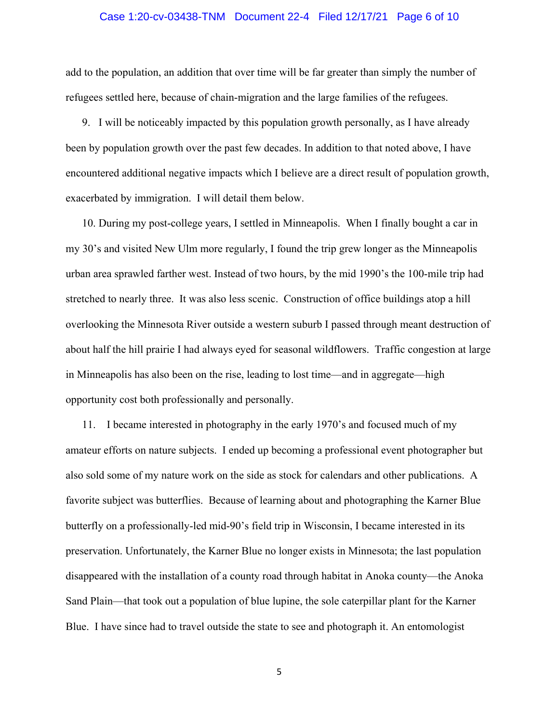## Case 1:20-cv-03438-TNM Document 22-4 Filed 12/17/21 Page 6 of 10

add to the population, an addition that over time will be far greater than simply the number of refugees settled here, because of chain-migration and the large families of the refugees.

9. I will be noticeably impacted by this population growth personally, as I have already been by population growth over the past few decades. In addition to that noted above, I have encountered additional negative impacts which I believe are a direct result of population growth, exacerbated by immigration. I will detail them below.

10. During my post-college years, I settled in Minneapolis. When I finally bought a car in my 30's and visited New Ulm more regularly, I found the trip grew longer as the Minneapolis urban area sprawled farther west. Instead of two hours, by the mid 1990's the 100-mile trip had stretched to nearly three. It was also less scenic. Construction of office buildings atop a hill overlooking the Minnesota River outside a western suburb I passed through meant destruction of about half the hill prairie I had always eyed for seasonal wildflowers. Traffic congestion at large in Minneapolis has also been on the rise, leading to lost time—and in aggregate—high opportunity cost both professionally and personally.

11. I became interested in photography in the early 1970's and focused much of my amateur efforts on nature subjects. I ended up becoming a professional event photographer but also sold some of my nature work on the side as stock for calendars and other publications. A favorite subject was butterflies. Because of learning about and photographing the Karner Blue butterfly on a professionally-led mid-90's field trip in Wisconsin, I became interested in its preservation. Unfortunately, the Karner Blue no longer exists in Minnesota; the last population disappeared with the installation of a county road through habitat in Anoka county—the Anoka Sand Plain—that took out a population of blue lupine, the sole caterpillar plant for the Karner Blue. I have since had to travel outside the state to see and photograph it. An entomologist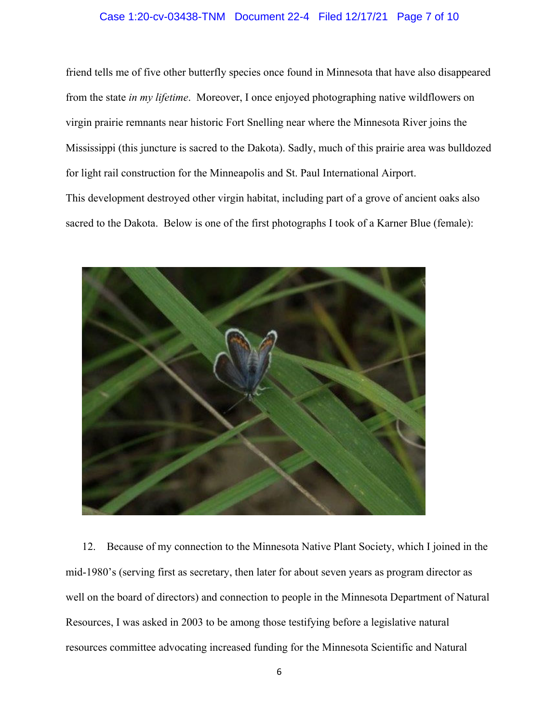# Case 1:20-cv-03438-TNM Document 22-4 Filed 12/17/21 Page 7 of 10

friend tells me of five other butterfly species once found in Minnesota that have also disappeared from the state *in my lifetime*. Moreover, I once enjoyed photographing native wildflowers on virgin prairie remnants near historic Fort Snelling near where the Minnesota River joins the Mississippi (this juncture is sacred to the Dakota). Sadly, much of this prairie area was bulldozed for light rail construction for the Minneapolis and St. Paul International Airport. This development destroyed other virgin habitat, including part of a grove of ancient oaks also sacred to the Dakota. Below is one of the first photographs I took of a Karner Blue (female):



12. Because of my connection to the Minnesota Native Plant Society, which I joined in the mid-1980's (serving first as secretary, then later for about seven years as program director as well on the board of directors) and connection to people in the Minnesota Department of Natural Resources, I was asked in 2003 to be among those testifying before a legislative natural resources committee advocating increased funding for the Minnesota Scientific and Natural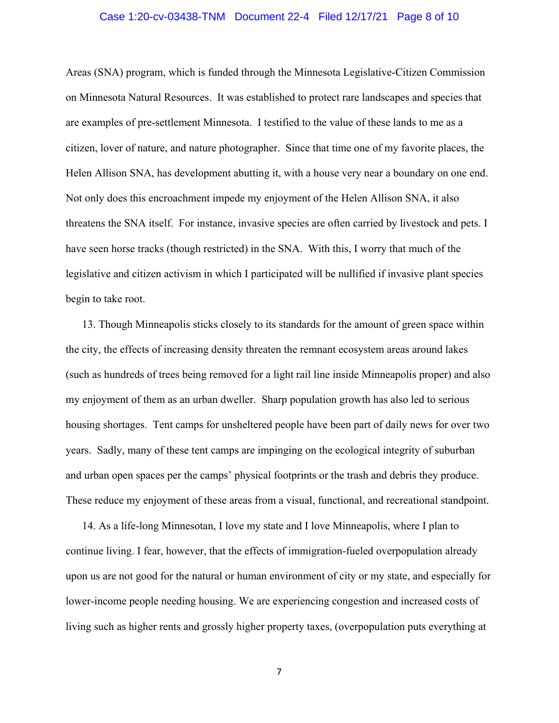## Case 1:20-cv-03438-TNM Document 22-4 Filed 12/17/21 Page 8 of 10

Areas (SNA) program, which is funded through the Minnesota Legislative-Citizen Commission on Minnesota Natural Resources. It was established to protect rare landscapes and species that are examples of pre-settlement Minnesota. I testified to the value of these lands to me as a citizen, lover of nature, and nature photographer. Since that time one of my favorite places, the Helen Allison SNA, has development abutting it, with a house very near a boundary on one end. Not only does this encroachment impede my enjoyment of the Helen Allison SNA, it also threatens the SNA itself. For instance, invasive species are often carried by livestock and pets. I have seen horse tracks (though restricted) in the SNA. With this, I worry that much of the legislative and citizen activism in which I participated will be nullified if invasive plant species begin to take root.

13. Though Minneapolis sticks closely to its standards for the amount of green space within the city, the effects of increasing density threaten the remnant ecosystem areas around lakes (such as hundreds of trees being removed for a light rail line inside Minneapolis proper) and also my enjoyment of them as an urban dweller. Sharp population growth has also led to serious housing shortages. Tent camps for unsheltered people have been part of daily news for over two years. Sadly, many of these tent camps are impinging on the ecological integrity of suburban and urban open spaces per the camps' physical footprints or the trash and debris they produce. These reduce my enjoyment of these areas from a visual, functional, and recreational standpoint.

14. As a life-long Minnesotan, I love my state and I love Minneapolis, where I plan to continue living. I fear, however, that the effects of immigration-fueled overpopulation already upon us are not good for the natural or human environment of city or my state, and especially for lower-income people needing housing. We are experiencing congestion and increased costs of living such as higher rents and grossly higher property taxes, (overpopulation puts everything at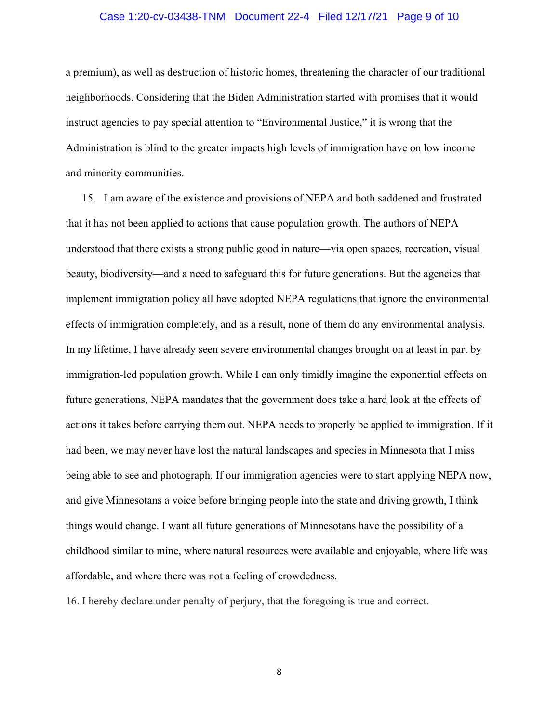# Case 1:20-cv-03438-TNM Document 22-4 Filed 12/17/21 Page 9 of 10

a premium), as well as destruction of historic homes, threatening the character of our traditional neighborhoods. Considering that the Biden Administration started with promises that it would instruct agencies to pay special attention to "Environmental Justice," it is wrong that the Administration is blind to the greater impacts high levels of immigration have on low income and minority communities.

15. I am aware of the existence and provisions of NEPA and both saddened and frustrated that it has not been applied to actions that cause population growth. The authors of NEPA understood that there exists a strong public good in nature—via open spaces, recreation, visual beauty, biodiversity—and a need to safeguard this for future generations. But the agencies that implement immigration policy all have adopted NEPA regulations that ignore the environmental effects of immigration completely, and as a result, none of them do any environmental analysis. In my lifetime, I have already seen severe environmental changes brought on at least in part by immigration-led population growth. While I can only timidly imagine the exponential effects on future generations, NEPA mandates that the government does take a hard look at the effects of actions it takes before carrying them out. NEPA needs to properly be applied to immigration. If it had been, we may never have lost the natural landscapes and species in Minnesota that I miss being able to see and photograph. If our immigration agencies were to start applying NEPA now, and give Minnesotans a voice before bringing people into the state and driving growth, I think things would change. I want all future generations of Minnesotans have the possibility of a childhood similar to mine, where natural resources were available and enjoyable, where life was affordable, and where there was not a feeling of crowdedness.

16. I hereby declare under penalty of perjury, that the foregoing is true and correct.